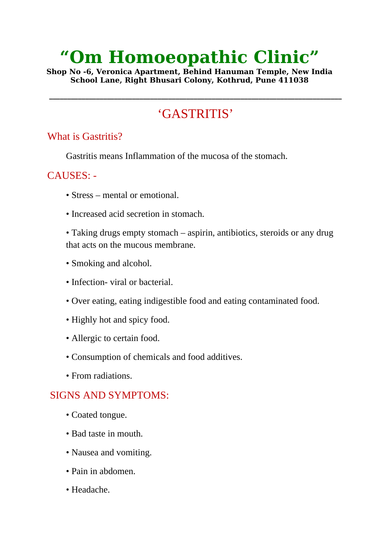# **"Om Homoeopathic Clinic"**

**Shop No -6, Veronica Apartment, Behind Hanuman Temple, New India School Lane, Right Bhusari Colony, Kothrud, Pune 411038**

# 'GASTRITIS'

**\_\_\_\_\_\_\_\_\_\_\_\_\_\_\_\_\_\_\_\_\_\_\_\_\_\_\_\_\_\_\_\_\_\_\_\_\_\_\_\_\_\_\_\_\_\_\_\_\_\_\_\_\_\_\_\_\_\_\_\_\_\_\_\_\_\_\_\_\_\_\_\_\_\_\_\_\_\_\_\_\_**

#### What is Gastritis?

Gastritis means Inflammation of the mucosa of the stomach.

## CAUSES: -

- Stress mental or emotional.
- Increased acid secretion in stomach.

• Taking drugs empty stomach – aspirin, antibiotics, steroids or any drug that acts on the mucous membrane.

- Smoking and alcohol.
- Infection- viral or bacterial.
- Over eating, eating indigestible food and eating contaminated food.
- Highly hot and spicy food.
- Allergic to certain food.
- Consumption of chemicals and food additives.
- From radiations.

## SIGNS AND SYMPTOMS:

- Coated tongue.
- Bad taste in mouth.
- Nausea and vomiting.
- Pain in abdomen.
- Headache.